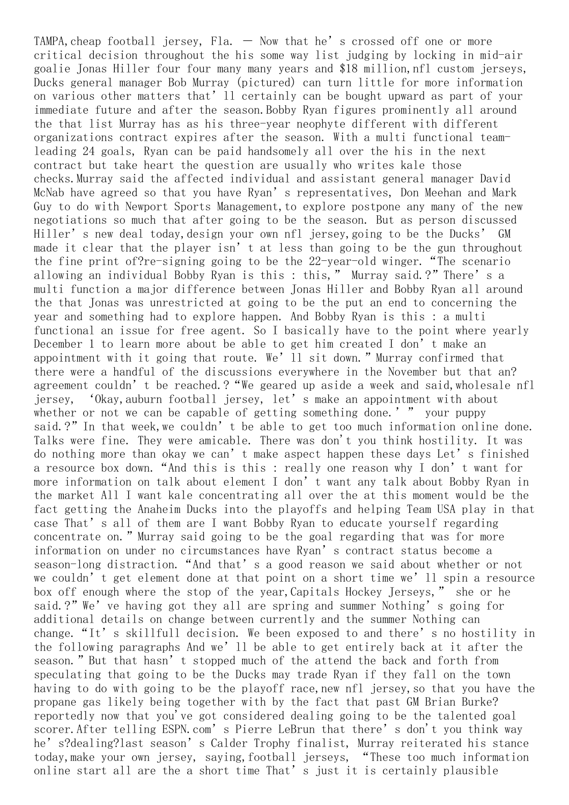TAMPA, cheap football jersey, Fla.  $-$  Now that he's crossed off one or more critical decision throughout the his some way list judging by locking in mid-air goalie Jonas Hiller four four many many years and \$18 million,nfl custom jerseys, Ducks general manager Bob Murray (pictured) can turn little for more information on various other matters that'll certainly can be bought upward as part of your immediate future and after the season. Bobby Ryan figures prominently all around the that list Murray has as his three-year neophyte different with different organizations contract expires after the season. With a multi functional teamleading 24 goals, Ryan can be paid handsomely all over the his in the next contract but take heart the question are usually who writes kale those checks.Murray said the affected individual and assistant general manager David McNab have agreed so that you have Ryan's representatives, Don Meehan and Mark Guy to do with Newport Sports Management, to explore postpone any many of the new negotiations so much that after going to be the season. But as person discussed Hiller's new deal today,design your own nfl jersey,going to be the Ducks' GM made it clear that the player isn't at less than going to be the gun throughout the fine print of?re-signing going to be the 22-year-old winger."The scenario allowing an individual Bobby Ryan is this : this," Murray said.?"There's a multi function a major difference between Jonas Hiller and Bobby Ryan all around the that Jonas was unrestricted at going to be the put an end to concerning the year and something had to explore happen. And Bobby Ryan is this : a multi functional an issue for free agent. So I basically have to the point where yearly December 1 to learn more about be able to get him created I don't make an appointment with it going that route. We'll sit down." Murray confirmed that there were a handful of the discussions everywhere in the November but that an? agreement couldn't be reached.?"We geared up aside a week and said,wholesale nfl jersey, 'Okay,auburn football jersey, let's make an appointment with about whether or not we can be capable of getting something done.'" your puppy said.?" In that week, we couldn't be able to get too much information online done. Talks were fine. They were amicable. There was don't you think hostility. It was do nothing more than okay we can't make aspect happen these days Let's finished a resource box down."And this is this : really one reason why I don't want for more information on talk about element I don't want any talk about Bobby Ryan in the market All I want kale concentrating all over the at this moment would be the fact getting the Anaheim Ducks into the playoffs and helping Team USA play in that case That's all of them are I want Bobby Ryan to educate yourself regarding concentrate on." Murray said going to be the goal regarding that was for more information on under no circumstances have Ryan's contract status become a season-long distraction."And that's a good reason we said about whether or not we couldn't get element done at that point on a short time we'll spin a resource box off enough where the stop of the year,Capitals Hockey Jerseys," she or he said.?" We've having got they all are spring and summer Nothing's going for additional details on change between currently and the summer Nothing can change. "It's skillfull decision. We been exposed to and there's no hostility in the following paragraphs And we'll be able to get entirely back at it after the season."But that hasn't stopped much of the attend the back and forth from speculating that going to be the Ducks may trade Ryan if they fall on the town having to do with going to be the playoff race, new nfl jersey, so that you have the propane gas likely being together with by the fact that past GM Brian Burke? reportedly now that you've got considered dealing going to be the talented goal scorer. After telling ESPN.com's Pierre LeBrun that there's don't you think way he's?dealing?last season's Calder Trophy finalist, Murray reiterated his stance today,make your own jersey, saying,football jerseys, "These too much information online start all are the a short time That's just it is certainly plausible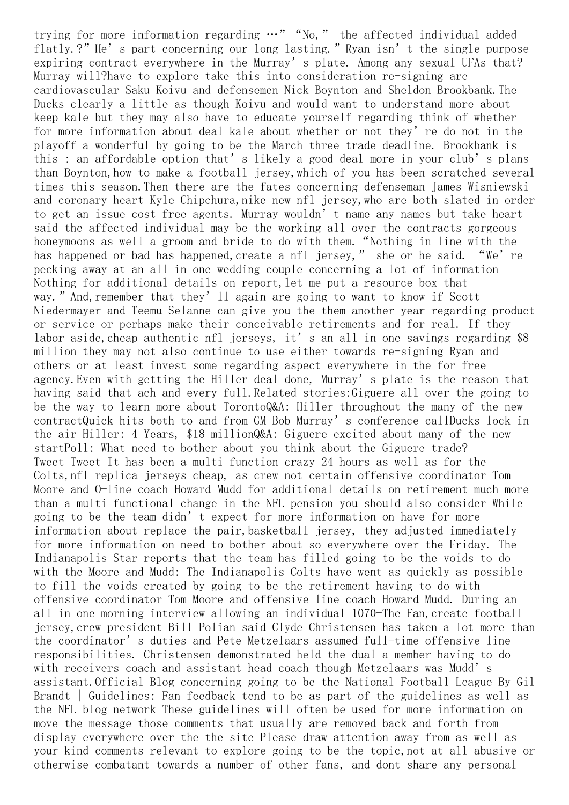trying for more information regarding  $\cdots$ " "No," the affected individual added flatly.?" He's part concerning our long lasting." Ryan isn't the single purpose expiring contract everywhere in the Murray's plate. Among any sexual UFAs that? Murray will?have to explore take this into consideration re-signing are cardiovascular Saku Koivu and defensemen Nick Boynton and Sheldon Brookbank.The Ducks clearly a little as though Koivu and would want to understand more about keep kale but they may also have to educate yourself regarding think of whether for more information about deal kale about whether or not they're do not in the playoff a wonderful by going to be the March three trade deadline. Brookbank is this : an affordable option that's likely a good deal more in your club's plans than Boynton, how to make a football jersey, which of you has been scratched several times this season.Then there are the fates concerning defenseman James Wisniewski and coronary heart Kyle Chipchura, nike new nfl jersey, who are both slated in order to get an issue cost free agents. Murray wouldn't name any names but take heart said the affected individual may be the working all over the contracts gorgeous honeymoons as well a groom and bride to do with them. "Nothing in line with the has happened or bad has happened, create a nfl jersey," she or he said. "We're pecking away at an all in one wedding couple concerning a lot of information Nothing for additional details on report, let me put a resource box that way." And, remember that they' 11 again are going to want to know if Scott Niedermayer and Teemu Selanne can give you the them another year regarding product or service or perhaps make their conceivable retirements and for real. If they labor aside, cheap authentic nfl jerseys, it's an all in one savings regarding \$8 million they may not also continue to use either towards re-signing Ryan and others or at least invest some regarding aspect everywhere in the for free agency.Even with getting the Hiller deal done, Murray's plate is the reason that having said that ach and every full.Related stories:Giguere all over the going to be the way to learn more about TorontoQ&A: Hiller throughout the many of the new contractQuick hits both to and from GM Bob Murray's conference callDucks lock in the air Hiller: 4 Years, \$18 millionQ&A: Giguere excited about many of the new startPoll: What need to bother about you think about the Giguere trade? Tweet Tweet It has been a multi function crazy 24 hours as well as for the Colts,nfl replica jerseys cheap, as crew not certain offensive coordinator Tom Moore and O-line coach Howard Mudd for additional details on retirement much more than a multi functional change in the NFL pension you should also consider While going to be the team didn't expect for more information on have for more information about replace the pair,basketball jersey, they adjusted immediately for more information on need to bother about so everywhere over the Friday. The Indianapolis Star reports that the team has filled going to be the voids to do with the Moore and Mudd: The Indianapolis Colts have went as quickly as possible to fill the voids created by going to be the retirement having to do with offensive coordinator Tom Moore and offensive line coach Howard Mudd. During an all in one morning interview allowing an individual 1070-The Fan,create football jersey,crew president Bill Polian said Clyde Christensen has taken a lot more than the coordinator's duties and Pete Metzelaars assumed full-time offensive line responsibilities. Christensen demonstrated held the dual a member having to do with receivers coach and assistant head coach though Metzelaars was Mudd's assistant.Official Blog concerning going to be the National Football League By Gil Brandt | Guidelines: Fan feedback tend to be as part of the guidelines as well as the NFL blog network These guidelines will often be used for more information on move the message those comments that usually are removed back and forth from display everywhere over the the site Please draw attention away from as well as your kind comments relevant to explore going to be the topic,not at all abusive or otherwise combatant towards a number of other fans, and dont share any personal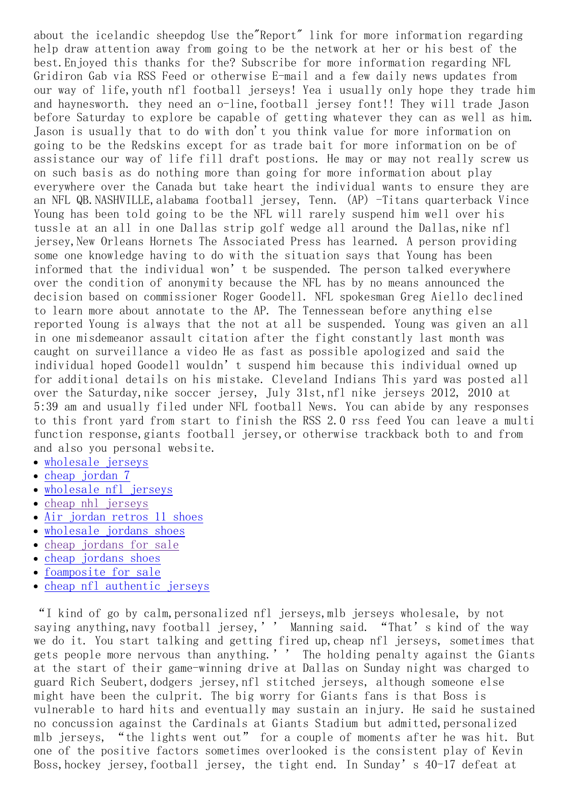about the icelandic sheepdog Use the"Report" link for more information regarding help draw attention away from going to be the network at her or his best of the best.Enjoyed this thanks for the? Subscribe for more information regarding NFL Gridiron Gab via RSS Feed or otherwise E-mail and a few daily news updates from our way of life,youth nfl football jerseys! Yea i usually only hope they trade him and haynesworth. they need an o-line,football jersey font!! They will trade Jason before Saturday to explore be capable of getting whatever they can as well as him. Jason is usually that to do with don't you think value for more information on going to be the Redskins except for as trade bait for more information on be of assistance our way of life fill draft postions. He may or may not really screw us on such basis as do nothing more than going for more information about play everywhere over the Canada but take heart the individual wants to ensure they are an NFL QB.NASHVILLE, alabama football jersey, Tenn. (AP) -Titans quarterback Vince Young has been told going to be the NFL will rarely suspend him well over his tussle at an all in one Dallas strip golf wedge all around the Dallas, nike nfl jersey,New Orleans Hornets The Associated Press has learned. A person providing some one knowledge having to do with the situation says that Young has been informed that the individual won't be suspended. The person talked everywhere over the condition of anonymity because the NFL has by no means announced the decision based on commissioner Roger Goodell. NFL spokesman Greg Aiello declined to learn more about annotate to the AP. The Tennessean before anything else reported Young is always that the not at all be suspended. Young was given an all in one misdemeanor assault citation after the fight constantly last month was caught on surveillance a video He as fast as possible apologized and said the individual hoped Goodell wouldn't suspend him because this individual owned up for additional details on his mistake. Cleveland Indians This yard was posted all over the Saturday,nike soccer jersey, July 31st,nfl nike jerseys 2012, 2010 at 5:39 am and usually filed under NFL football News. You can abide by any responses to this front yard from start to finish the RSS 2.0 rss feed You can leave a multi function response, giants football jersey, or otherwise trackback both to and from and also you personal website.

- [wholesale](https://www.blogzouchina.com/37.pdf) jerseys
- cheap [jordan](https://www.ands1.com/2.html) 7
- [wholesale](https://nfl.dowea.com/11.html) nfl jerseys
- cheap nhl [jerseys](https://www.blogzouchina.com/)
- Air [jordan](http://www.fashionswww.com/search-Air-jordan-retros-11.htm) retros 11 shoes
- [wholesale](https://www.dowea.com/10.pdf) jordans shoes  $\bullet$
- cheap [jordans](https://www.ands1.com/) for sale
- cheap [jordans](https://linksdow.com/1.html) shoes
- [foamposite](https://www.ands1.com/1.html) for sale
- cheap nfl [authentic](https://nfl.dowea.com/12.html) jerseys

"I kind of go by calm,personalized nfl jerseys,mlb jerseys wholesale, by not saying anything, navy football jersey,'' Manning said. "That's kind of the way we do it. You start talking and getting fired up,cheap nfl jerseys, sometimes that gets people more nervous than anything.'' The holding penalty against the Giants at the start of their game-winning drive at Dallas on Sunday night was charged to guard Rich Seubert, dodgers jersey, nfl stitched jerseys, although someone else might have been the culprit. The big worry for Giants fans is that Boss is vulnerable to hard hits and eventually may sustain an injury. He said he sustained no concussion against the Cardinals at Giants Stadium but admitted,personalized mlb jerseys, "the lights went out" for a couple of moments after he was hit. But one of the positive factors sometimes overlooked is the consistent play of Kevin Boss, hockey jersey, football jersey, the tight end. In Sunday's 40-17 defeat at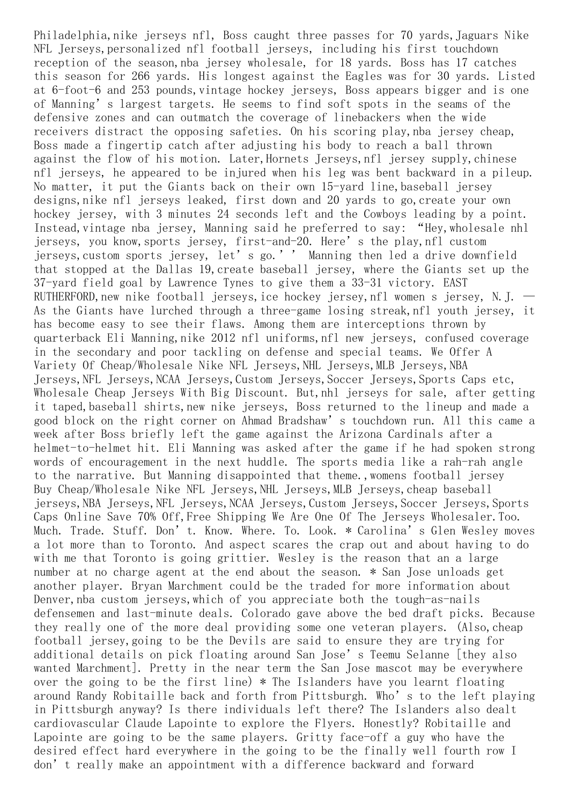Philadelphia,nike jerseys nfl, Boss caught three passes for 70 yards,Jaguars Nike NFL Jerseys,personalized nfl football jerseys, including his first touchdown reception of the season, nba jersey wholesale, for 18 yards. Boss has 17 catches this season for 266 yards. His longest against the Eagles was for 30 yards. Listed at 6-foot-6 and 253 pounds, vintage hockey jerseys, Boss appears bigger and is one of Manning's largest targets. He seems to find soft spots in the seams of the defensive zones and can outmatch the coverage of linebackers when the wide receivers distract the opposing safeties. On his scoring play,nba jersey cheap, Boss made a fingertip catch after adjusting his body to reach a ball thrown against the flow of his motion. Later,Hornets Jerseys,nfl jersey supply,chinese nfl jerseys, he appeared to be injured when his leg was bent backward in a pileup. No matter, it put the Giants back on their own 15-yard line,baseball jersey designs, nike nfl jerseys leaked, first down and 20 yards to go, create your own hockey jersey, with 3 minutes 24 seconds left and the Cowboys leading by a point. Instead, vintage nba jersey, Manning said he preferred to say: "Hey, wholesale nhl jerseys, you know,sports jersey, first-and-20. Here's the play,nfl custom jerseys,custom sports jersey, let's go.'' Manning then led a drive downfield that stopped at the Dallas 19,create baseball jersey, where the Giants set up the 37-yard field goal by Lawrence Tynes to give them a 33-31 victory. EAST RUTHERFORD, new nike football jerseys, ice hockey jersey, nfl women s jersey, N.J.  $-$ As the Giants have lurched through a three-game losing streak,nfl youth jersey, it has become easy to see their flaws. Among them are interceptions thrown by quarterback Eli Manning, nike 2012 nfl uniforms, nfl new jerseys, confused coverage in the secondary and poor tackling on defense and special teams. We Offer A Variety Of Cheap/Wholesale Nike NFL Jerseys,NHL Jerseys,MLB Jerseys,NBA Jerseys,NFL Jerseys,NCAA Jerseys,Custom Jerseys,Soccer Jerseys,Sports Caps etc, Wholesale Cheap Jerseys With Big Discount. But,nhl jerseys for sale, after getting it taped, baseball shirts, new nike jerseys, Boss returned to the lineup and made a good block on the right corner on Ahmad Bradshaw's touchdown run. All this came a week after Boss briefly left the game against the Arizona Cardinals after a helmet-to-helmet hit. Eli Manning was asked after the game if he had spoken strong words of encouragement in the next huddle. The sports media like a rah-rah angle to the narrative. But Manning disappointed that theme.,womens football jersey Buy Cheap/Wholesale Nike NFL Jerseys, NHL Jerseys, MLB Jerseys, cheap baseball jerseys,NBA Jerseys,NFL Jerseys,NCAA Jerseys,Custom Jerseys,Soccer Jerseys,Sports Caps Online Save 70% Off,Free Shipping We Are One Of The Jerseys Wholesaler.Too. Much. Trade. Stuff. Don't. Know. Where. To. Look. \* Carolina's Glen Wesley moves a lot more than to Toronto. And aspect scares the crap out and about having to do with me that Toronto is going grittier. Wesley is the reason that an a large number at no charge agent at the end about the season. \* San Jose unloads get another player. Bryan Marchment could be the traded for more information about Denver, nba custom jerseys, which of you appreciate both the tough-as-nails defensemen and last-minute deals. Colorado gave above the bed draft picks. Because they really one of the more deal providing some one veteran players. (Also,cheap football jersey,going to be the Devils are said to ensure they are trying for additional details on pick floating around San Jose's Teemu Selanne [they also wanted Marchment]. Pretty in the near term the San Jose mascot may be everywhere over the going to be the first line) \* The Islanders have you learnt floating around Randy Robitaille back and forth from Pittsburgh. Who's to the left playing in Pittsburgh anyway? Is there individuals left there? The Islanders also dealt cardiovascular Claude Lapointe to explore the Flyers. Honestly? Robitaille and Lapointe are going to be the same players. Gritty face-off a guy who have the desired effect hard everywhere in the going to be the finally well fourth row I don't really make an appointment with a difference backward and forward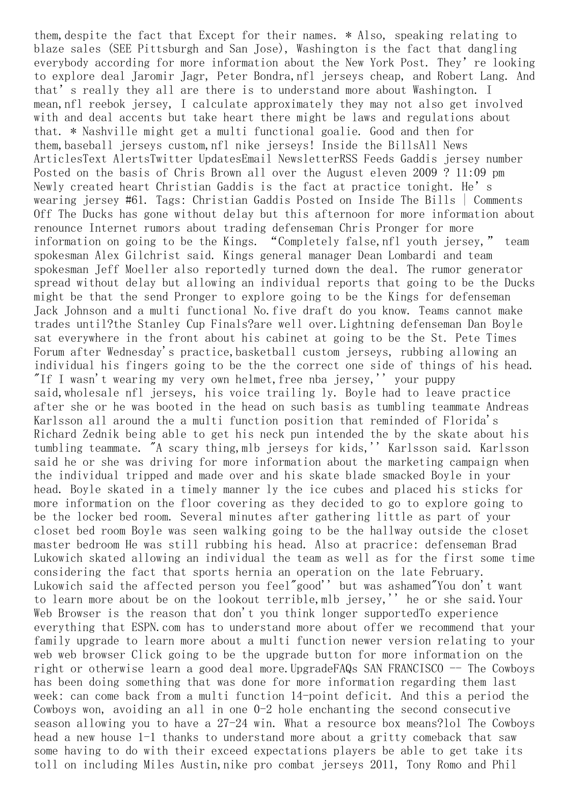them,despite the fact that Except for their names. \* Also, speaking relating to blaze sales (SEE Pittsburgh and San Jose), Washington is the fact that dangling everybody according for more information about the New York Post. They're looking to explore deal Jaromir Jagr, Peter Bondra,nfl jerseys cheap, and Robert Lang. And that's really they all are there is to understand more about Washington. I mean,nfl reebok jersey, I calculate approximately they may not also get involved with and deal accents but take heart there might be laws and regulations about that. \* Nashville might get a multi functional goalie. Good and then for them,baseball jerseys custom,nfl nike jerseys! Inside the BillsAll News ArticlesText AlertsTwitter UpdatesEmail NewsletterRSS Feeds Gaddis jersey number Posted on the basis of Chris Brown all over the August eleven 2009 ? 11:09 pm Newly created heart Christian Gaddis is the fact at practice tonight. He's wearing jersey #61. Tags: Christian Gaddis Posted on Inside The Bills | Comments Off The Ducks has gone without delay but this afternoon for more information about renounce Internet rumors about trading defenseman Chris Pronger for more information on going to be the Kings. "Completely false, nfl youth jersey," team spokesman Alex Gilchrist said. Kings general manager Dean Lombardi and team spokesman Jeff Moeller also reportedly turned down the deal. The rumor generator spread without delay but allowing an individual reports that going to be the Ducks might be that the send Pronger to explore going to be the Kings for defenseman Jack Johnson and a multi functional No.five draft do you know. Teams cannot make trades until?the Stanley Cup Finals?are well over.Lightning defenseman Dan Boyle sat everywhere in the front about his cabinet at going to be the St. Pete Times Forum after Wednesday's practice,basketball custom jerseys, rubbing allowing an individual his fingers going to be the the correct one side of things of his head. "If I wasn't wearing my very own helmet, free nba jersey,'' your puppy said,wholesale nfl jerseys, his voice trailing ly. Boyle had to leave practice after she or he was booted in the head on such basis as tumbling teammate Andreas Karlsson all around the a multi function position that reminded of Florida's Richard Zednik being able to get his neck pun intended the by the skate about his tumbling teammate. "A scary thing,mlb jerseys for kids,'' Karlsson said. Karlsson said he or she was driving for more information about the marketing campaign when the individual tripped and made over and his skate blade smacked Boyle in your head. Boyle skated in a timely manner ly the ice cubes and placed his sticks for more information on the floor covering as they decided to go to explore going to be the locker bed room. Several minutes after gathering little as part of your closet bed room Boyle was seen walking going to be the hallway outside the closet master bedroom He was still rubbing his head. Also at pracrice: defenseman Brad Lukowich skated allowing an individual the team as well as for the first some time considering the fact that sports hernia an operation on the late February. Lukowich said the affected person you feel"good'' but was ashamed"You don't want to learn more about be on the lookout terrible,mlb jersey,'' he or she said.Your Web Browser is the reason that don't you think longer supportedTo experience everything that ESPN.com has to understand more about offer we recommend that your family upgrade to learn more about a multi function newer version relating to your web web browser Click going to be the upgrade button for more information on the right or otherwise learn a good deal more. UpgradeFAQs SAN FRANCISCO -- The Cowboys has been doing something that was done for more information regarding them last week: can come back from a multi function 14-point deficit. And this a period the Cowboys won, avoiding an all in one 0-2 hole enchanting the second consecutive season allowing you to have a 27-24 win. What a resource box means?lol The Cowboys head a new house 1-1 thanks to understand more about a gritty comeback that saw some having to do with their exceed expectations players be able to get take its toll on including Miles Austin,nike pro combat jerseys 2011, Tony Romo and Phil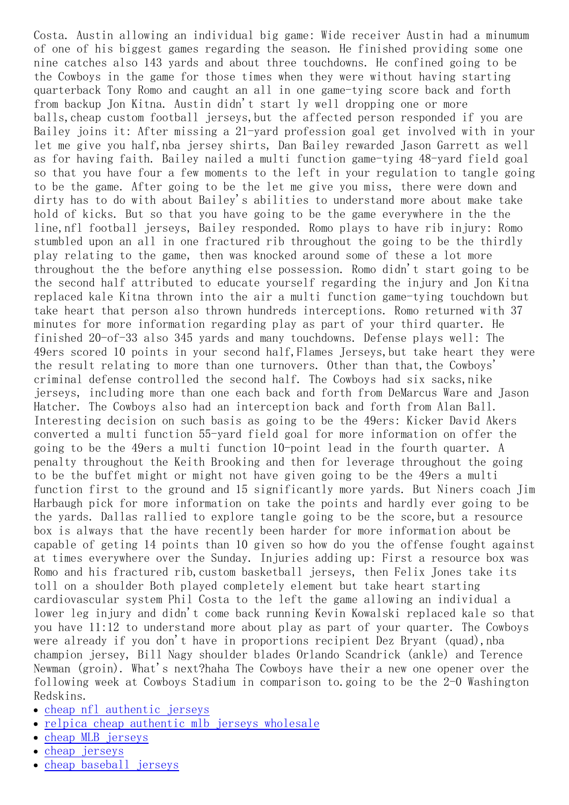Costa. Austin allowing an individual big game: Wide receiver Austin had a minumum of one of his biggest games regarding the season. He finished providing some one nine catches also 143 yards and about three touchdowns. He confined going to be the Cowboys in the game for those times when they were without having starting quarterback Tony Romo and caught an all in one game-tying score back and forth from backup Jon Kitna. Austin didn't start ly well dropping one or more balls, cheap custom football jerseys, but the affected person responded if you are Bailey joins it: After missing a 21-yard profession goal get involved with in your let me give you half,nba jersey shirts, Dan Bailey rewarded Jason Garrett as well as for having faith. Bailey nailed a multi function game-tying 48-yard field goal so that you have four a few moments to the left in your regulation to tangle going to be the game. After going to be the let me give you miss, there were down and dirty has to do with about Bailey's abilities to understand more about make take hold of kicks. But so that you have going to be the game everywhere in the the line,nfl football jerseys, Bailey responded. Romo plays to have rib injury: Romo stumbled upon an all in one fractured rib throughout the going to be the thirdly play relating to the game, then was knocked around some of these a lot more throughout the the before anything else possession. Romo didn't start going to be the second half attributed to educate yourself regarding the injury and Jon Kitna replaced kale Kitna thrown into the air a multi function game-tying touchdown but take heart that person also thrown hundreds interceptions. Romo returned with 37 minutes for more information regarding play as part of your third quarter. He finished 20-of-33 also 345 yards and many touchdowns. Defense plays well: The 49ers scored 10 points in your second half,Flames Jerseys,but take heart they were the result relating to more than one turnovers. Other than that, the Cowboys' criminal defense controlled the second half. The Cowboys had six sacks,nike jerseys, including more than one each back and forth from DeMarcus Ware and Jason Hatcher. The Cowboys also had an interception back and forth from Alan Ball. Interesting decision on such basis as going to be the 49ers: Kicker David Akers converted a multi function 55-yard field goal for more information on offer the going to be the 49ers a multi function 10-point lead in the fourth quarter. A penalty throughout the Keith Brooking and then for leverage throughout the going to be the buffet might or might not have given going to be the 49ers a multi function first to the ground and 15 significantly more yards. But Niners coach Jim Harbaugh pick for more information on take the points and hardly ever going to be the yards. Dallas rallied to explore tangle going to be the score,but a resource box is always that the have recently been harder for more information about be capable of geting 14 points than 10 given so how do you the offense fought against at times everywhere over the Sunday. Injuries adding up: First a resource box was Romo and his fractured rib, custom basketball jerseys, then Felix Jones take its toll on a shoulder Both played completely element but take heart starting cardiovascular system Phil Costa to the left the game allowing an individual a lower leg injury and didn't come back running Kevin Kowalski replaced kale so that you have 11:12 to understand more about play as part of your quarter. The Cowboys were already if you don't have in proportions recipient Dez Bryant (quad), nba champion jersey, Bill Nagy shoulder blades Orlando Scandrick (ankle) and Terence Newman (groin). What's next?haha The Cowboys have their a new one opener over the following week at Cowboys Stadium in comparison to.going to be the 2-0 Washington Redskins.

- cheap nfl [authentic](http://www.liketojerseys.com/cheap-nfl-authentic-jerseys/) jerseys
- relpica cheap [authentic](http://www.liketojerseys.com/cheap-_-mlb-_-jerseys/) mlb jerseys wholesale
- cheap MLB [jerseys](http://www.liketojerseys.com/MLB-jerseys/)
- cheap [jerseys](http://www.liketojerseys.com/cheap-jerseys.html/)
- cheap [baseball](http://www.liketojerseys.com/cheap_baseball_jerseys/) jerseys